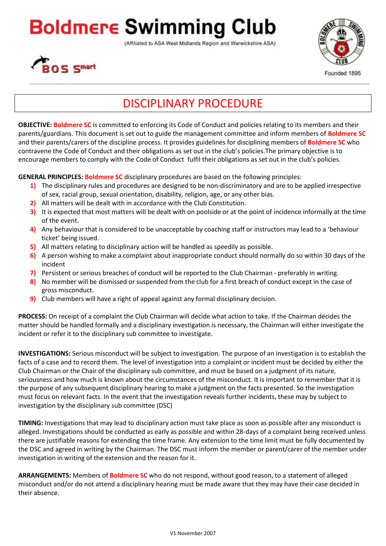## **Boldmere Swimming Club**

(Affiliated to ASA West Midlands Region and Warwickshire ASA)





Founded 1895

## DISCIPLINARY PROCEDURE

**OBJECTIVE: Boldmere SC** is committed to enforcing its Code of Conduct and policies relating to its members and their parents/guardians. This document is set out to guide the management committee and inform members of **Boldmere SC** and their parents/carers of the discipline process. It provides guidelines for disciplining members of **Boldmere SC** who contravene the Code of Conduct and their obligations as set out in the club's policies.The primary objective is to encourage members to comply with the Code of Conduct fulfil their obligations as set out in the club's policies.

**GENERAL PRINCIPLES: Boldmere SC** disciplinary procedures are based on the following principles:

- **1)** The disciplinary rules and procedures are designed to be non-discriminatory and are to be applied irrespective of sex, racial group, sexual orientation, disability, religion, age, or any other bias.
- **2)** All matters will be dealt with in accordance with the Club Constitution.
- **3)** It is expected that most matters will be dealt with on poolside or at the point of incidence informally at the time of the event.
- **4)** Any behaviour that is considered to be unacceptable by coaching staff or instructors may lead to a 'behaviour ticket' being issued.
- **5)** All matters relating to disciplinary action will be handled as speedily as possible.
- **6)** A person wishing to make a complaint about inappropriate conduct should normally do so within 30 days of the incident
- **7)** Persistent or serious breaches of conduct will be reported to the Club Chairman preferably in writing.
- **8)** No member will be dismissed or suspended from the club for a first breach of conduct except in the case of gross misconduct.
- **9)** Club members will have a right of appeal against any formal disciplinary decision.

**PROCESS:** On receipt of a complaint the Club Chairman will decide what action to take. If the Chairman decides the matter should be handled formally and a disciplinary investigation is necessary, the Chairman will either investigate the incident or refer it to the disciplinary sub committee to investigate.

**INVESTIGATIONS:** Serious misconduct will be subject to investigation. The purpose of an investigation is to establish the facts of a case and to record them. The level of investigation into a complaint or incident must be decided by either the Club Chairman or the Chair of the disciplinary sub committee, and must be based on a judgment of its nature, seriousness and how much is known about the circumstances of the misconduct. It is important to remember that it is the purpose of any subsequent disciplinary hearing to make a judgment on the facts presented. So the investigation must focus on relevant facts. In the event that the investigation reveals further incidents, these may by subject to investigation by the disciplinary sub committee (DSC)

**TIMING:** Investigations that may lead to disciplinary action must take place as soon as possible after any misconduct is alleged. Investigations should be conducted as early as possible and within 28-days of a complaint being received unless there are justifiable reasons for extending the time frame. Any extension to the time limit must be fully documented by the DSC and agreed in writing by the Chairman. The DSC must inform the member or parent/carer of the member under investigation in writing of the extension and the reason for it.

**ARRANGEMENTS:** Members of **Boldmere SC** who do not respond, without good reason, to a statement of alleged misconduct and/or do not attend a disciplinary hearing must be made aware that they may have their case decided in their absence.